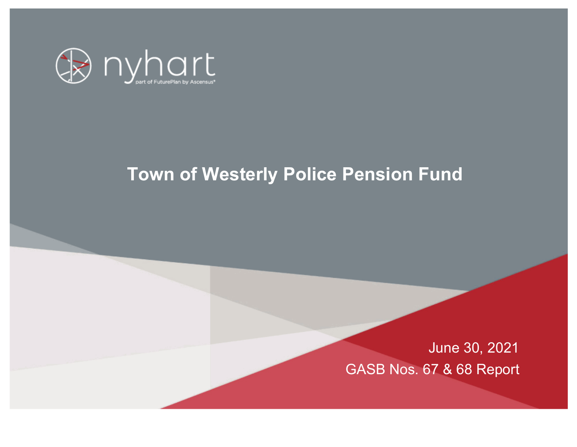

# **Town of Westerly Police Pension Fund**

June 30, 2021 GASB Nos. 67 & 68 Report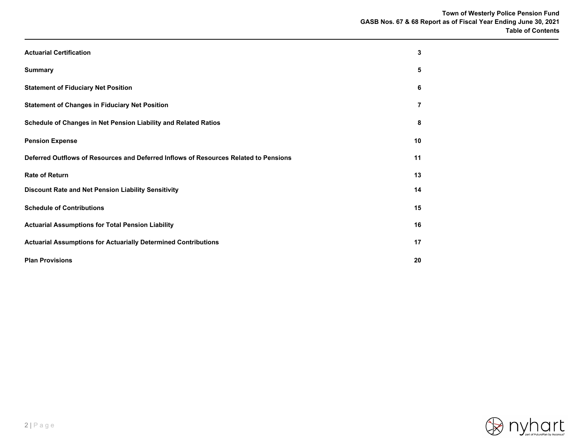| <b>Actuarial Certification</b>                                                       | 3  |
|--------------------------------------------------------------------------------------|----|
| <b>Summary</b>                                                                       | 5  |
| <b>Statement of Fiduciary Net Position</b>                                           | 6  |
| <b>Statement of Changes in Fiduciary Net Position</b>                                | 7  |
| Schedule of Changes in Net Pension Liability and Related Ratios                      | 8  |
| <b>Pension Expense</b>                                                               | 10 |
| Deferred Outflows of Resources and Deferred Inflows of Resources Related to Pensions | 11 |
| <b>Rate of Return</b>                                                                | 13 |
| Discount Rate and Net Pension Liability Sensitivity                                  | 14 |
| <b>Schedule of Contributions</b>                                                     | 15 |
| <b>Actuarial Assumptions for Total Pension Liability</b>                             | 16 |
| <b>Actuarial Assumptions for Actuarially Determined Contributions</b>                | 17 |
| <b>Plan Provisions</b>                                                               | 20 |

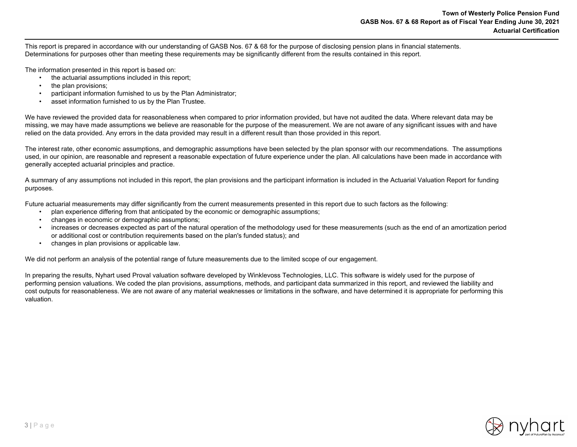This report is prepared in accordance with our understanding of GASB Nos. 67 & 68 for the purpose of disclosing pension plans in financial statements. Determinations for purposes other than meeting these requirements may be significantly different from the results contained in this report.

The information presented in this report is based on:

- the actuarial assumptions included in this report;
- the plan provisions:
- participant information furnished to us by the Plan Administrator;
- asset information furnished to us by the Plan Trustee.

We have reviewed the provided data for reasonableness when compared to prior information provided, but have not audited the data. Where relevant data may be missing, we may have made assumptions we believe are reasonable for the purpose of the measurement. We are not aware of any significant issues with and have relied on the data provided. Any errors in the data provided may result in a different result than those provided in this report.

The interest rate, other economic assumptions, and demographic assumptions have been selected by the plan sponsor with our recommendations. The assumptions used, in our opinion, are reasonable and represent a reasonable expectation of future experience under the plan. All calculations have been made in accordance with generally accepted actuarial principles and practice.

A summary of any assumptions not included in this report, the plan provisions and the participant information is included in the Actuarial Valuation Report for funding purposes.

Future actuarial measurements may differ significantly from the current measurements presented in this report due to such factors as the following:

- plan experience differing from that anticipated by the economic or demographic assumptions;
- changes in economic or demographic assumptions;
- increases or decreases expected as part of the natural operation of the methodology used for these measurements (such as the end of an amortization period or additional cost or contribution requirements based on the plan's funded status); and
- changes in plan provisions or applicable law.

We did not perform an analysis of the potential range of future measurements due to the limited scope of our engagement.

In preparing the results, Nyhart used Proval valuation software developed by Winklevoss Technologies, LLC. This software is widely used for the purpose of performing pension valuations. We coded the plan provisions, assumptions, methods, and participant data summarized in this report, and reviewed the liability and cost outputs for reasonableness. We are not aware of any material weaknesses or limitations in the software, and have determined it is appropriate for performing this valuation.

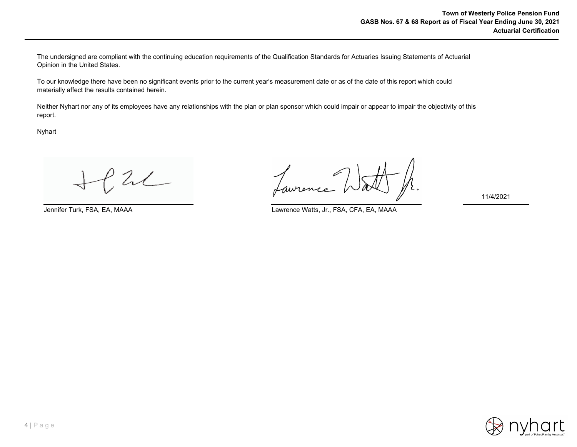The undersigned are compliant with the continuing education requirements of the Qualification Standards for Actuaries Issuing Statements of Actuarial Opinion in the United States.

To our knowledge there have been no significant events prior to the current year's measurement date or as of the date of this report which could materially affect the results contained herein.

Neither Nyhart nor any of its employees have any relationships with the plan or plan sponsor which could impair or appear to impair the objectivity of this report.

Nyhart

 $2$ 

Jennifer Turk, FSA, EA, MAAA Lawrence Watts, Jr., FSA, CFA, EA, MAAA



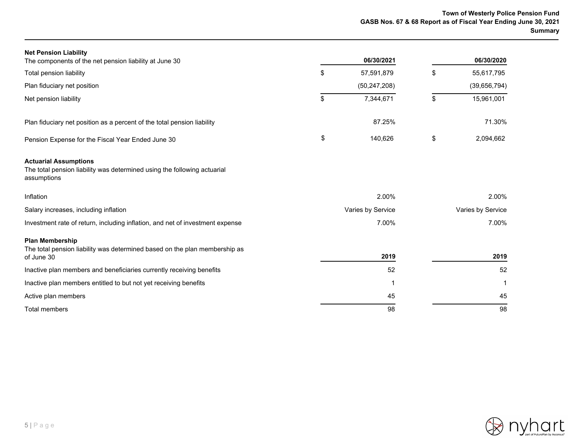| <b>Net Pension Liability</b><br>The components of the net pension liability at June 30                                  |       | 06/30/2021        |    | 06/30/2020        |
|-------------------------------------------------------------------------------------------------------------------------|-------|-------------------|----|-------------------|
|                                                                                                                         |       |                   |    |                   |
| Total pension liability                                                                                                 | \$    | 57,591,879        | \$ | 55,617,795        |
| Plan fiduciary net position                                                                                             |       | (50, 247, 208)    |    | (39,656,794)      |
| Net pension liability                                                                                                   | \$    | 7,344,671         | \$ | 15,961,001        |
| Plan fiduciary net position as a percent of the total pension liability                                                 |       | 87.25%            |    | 71.30%            |
| Pension Expense for the Fiscal Year Ended June 30                                                                       | \$    | 140,626           | \$ | 2,094,662         |
| <b>Actuarial Assumptions</b><br>The total pension liability was determined using the following actuarial<br>assumptions |       |                   |    |                   |
| Inflation                                                                                                               |       | 2.00%             |    | 2.00%             |
| Salary increases, including inflation                                                                                   |       | Varies by Service |    | Varies by Service |
| Investment rate of return, including inflation, and net of investment expense                                           | 7.00% |                   |    | 7.00%             |
| <b>Plan Membership</b><br>The total pension liability was determined based on the plan membership as<br>of June 30      |       | 2019              |    | 2019              |
| Inactive plan members and beneficiaries currently receiving benefits                                                    |       | 52                |    | 52                |
| Inactive plan members entitled to but not yet receiving benefits                                                        |       |                   |    |                   |
| Active plan members                                                                                                     |       | 45                |    | 45                |
| Total members                                                                                                           |       | 98                |    | 98                |

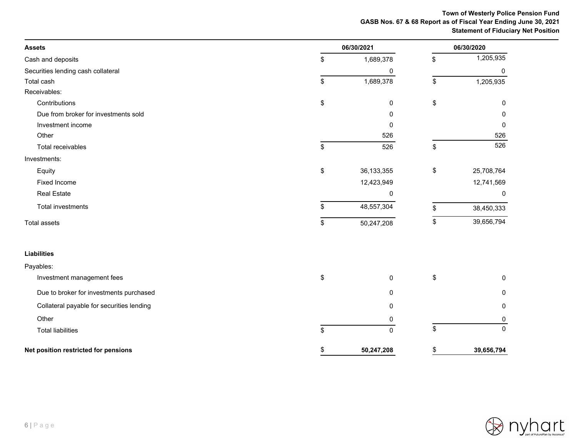# **Town of Westerly Police Pension Fund GASB Nos. 67 & 68 Report as of Fiscal Year Ending June 30, 2021 Statement of Fiduciary Net Position**

| <b>Assets</b>                             | 06/30/2021         |    |              |
|-------------------------------------------|--------------------|----|--------------|
| Cash and deposits                         | \$<br>1,689,378    | \$ | 1,205,935    |
| Securities lending cash collateral        | 0                  |    | 0            |
| Total cash                                | \$<br>1,689,378    | \$ | 1,205,935    |
| Receivables:                              |                    |    |              |
| Contributions                             | \$<br>0            | \$ | $\mathbf{0}$ |
| Due from broker for investments sold      | 0                  |    | $\Omega$     |
| Investment income                         | 0                  |    | 0            |
| Other                                     | 526                |    | 526          |
| Total receivables                         | \$<br>526          | \$ | 526          |
| Investments:                              |                    |    |              |
| Equity                                    | \$<br>36, 133, 355 | \$ | 25,708,764   |
| <b>Fixed Income</b>                       | 12,423,949         |    | 12,741,569   |
| <b>Real Estate</b>                        | 0                  |    | 0            |
| Total investments                         | \$<br>48,557,304   | \$ | 38,450,333   |
| <b>Total assets</b>                       | \$<br>50,247,208   |    | 39,656,794   |
| <b>Liabilities</b>                        |                    |    |              |
| Payables:                                 |                    |    |              |
| Investment management fees                | \$<br>0            | \$ | 0            |
| Due to broker for investments purchased   | 0                  |    | 0            |
| Collateral payable for securities lending | 0                  |    | $\Omega$     |
| Other                                     | 0                  |    |              |
| <b>Total liabilities</b>                  | \$<br>$\Omega$     | \$ | $\mathbf{0}$ |
| Net position restricted for pensions      | \$<br>50,247,208   | \$ | 39,656,794   |

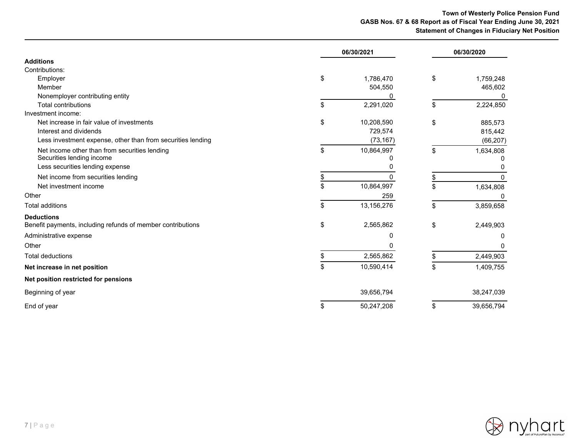# **Town of Westerly Police Pension Fund GASB Nos. 67 & 68 Report as of Fiscal Year Ending June 30, 2021 Statement of Changes in Fiduciary Net Position**

|                                                             | 06/30/2021 |            | 06/30/2020       |
|-------------------------------------------------------------|------------|------------|------------------|
| <b>Additions</b>                                            |            |            |                  |
| Contributions:                                              |            |            |                  |
| Employer                                                    | \$         | 1,786,470  | \$<br>1,759,248  |
| Member                                                      |            | 504,550    | 465,602          |
| Nonemployer contributing entity                             |            | 0          | 0                |
| <b>Total contributions</b>                                  | \$         | 2,291,020  | \$<br>2,224,850  |
| Investment income:                                          |            |            |                  |
| Net increase in fair value of investments                   | \$         | 10,208,590 | \$<br>885,573    |
| Interest and dividends                                      |            | 729,574    | 815,442          |
| Less investment expense, other than from securities lending |            | (73, 167)  | (66, 207)        |
| Net income other than from securities lending               | \$         | 10,864,997 | \$<br>1,634,808  |
| Securities lending income                                   |            | 0          |                  |
| Less securities lending expense                             |            | 0          |                  |
| Net income from securities lending                          | S.         | 0          | \$               |
| Net investment income                                       | \$         | 10,864,997 | \$<br>1,634,808  |
| Other                                                       |            | 259        | n                |
| <b>Total additions</b>                                      | \$         | 13,156,276 | \$<br>3,859,658  |
| <b>Deductions</b>                                           |            |            |                  |
| Benefit payments, including refunds of member contributions | \$         | 2,565,862  | \$<br>2,449,903  |
| Administrative expense                                      |            | 0          | 0                |
| Other                                                       |            | U          | n                |
| <b>Total deductions</b>                                     | \$         | 2,565,862  | \$<br>2,449,903  |
| Net increase in net position                                | \$         | 10,590,414 | \$<br>1,409,755  |
| Net position restricted for pensions                        |            |            |                  |
| Beginning of year                                           |            | 39,656,794 | 38,247,039       |
| End of year                                                 | \$         | 50,247,208 | \$<br>39,656,794 |

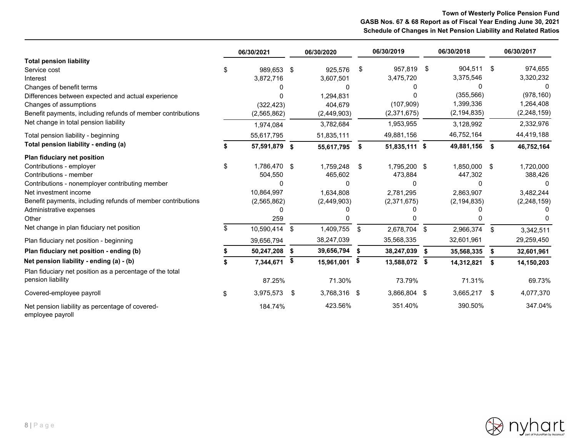# **Town of Westerly Police Pension Fund GASB Nos. 67 & 68 Report as of Fiscal Year Ending June 30, 2021 Schedule of Changes in Net Pension Liability and Related Ratios**

|                                                                     |     | 06/30/2021    |    | 06/30/2020   |      | 06/30/2019    |     | 06/30/2018    |      | 06/30/2017    |
|---------------------------------------------------------------------|-----|---------------|----|--------------|------|---------------|-----|---------------|------|---------------|
| <b>Total pension liability</b>                                      |     |               |    |              |      |               |     |               |      |               |
| Service cost                                                        | \$. | 989,653 \$    |    | 925,576      | - \$ | 957,819       | -\$ | 904,511       | - \$ | 974,655       |
| Interest                                                            |     | 3,872,716     |    | 3,607,501    |      | 3,475,720     |     | 3,375,546     |      | 3,320,232     |
| Changes of benefit terms                                            |     | <sup>0</sup>  |    | <sup>0</sup> |      |               |     | O             |      |               |
| Differences between expected and actual experience                  |     | n             |    | 1,294,831    |      |               |     | (355, 566)    |      | (978, 160)    |
| Changes of assumptions                                              |     | (322, 423)    |    | 404,679      |      | (107,909)     |     | 1,399,336     |      | 1,264,408     |
| Benefit payments, including refunds of member contributions         |     | (2,565,862)   |    | (2,449,903)  |      | (2,371,675)   |     | (2, 194, 835) |      | (2,248,159)   |
| Net change in total pension liability                               |     | 1,974,084     |    | 3,782,684    |      | 1,953,955     |     | 3,128,992     |      | 2,332,976     |
| Total pension liability - beginning                                 |     | 55,617,795    |    | 51,835,111   |      | 49,881,156    |     | 46,752,164    |      | 44,419,188    |
| Total pension liability - ending (a)                                |     | 57,591,879 \$ |    | 55,617,795   | - \$ | 51,835,111 \$ |     | 49,881,156    | \$   | 46,752,164    |
| Plan fiduciary net position                                         |     |               |    |              |      |               |     |               |      |               |
| Contributions - employer                                            | \$  | 1,786,470 \$  |    | 1,759,248    | \$   | 1,795,200 \$  |     | 1,850,000     | \$   | 1,720,000     |
| Contributions - member                                              |     | 504,550       |    | 465,602      |      | 473,884       |     | 447,302       |      | 388,426       |
| Contributions - nonemployer contributing member                     |     | 0             |    | O            |      | 0             |     | O             |      |               |
| Net investment income                                               |     | 10,864,997    |    | 1.634.808    |      | 2.781.295     |     | 2.863.907     |      | 3,482,244     |
| Benefit payments, including refunds of member contributions         |     | (2,565,862)   |    | (2,449,903)  |      | (2,371,675)   |     | (2, 194, 835) |      | (2, 248, 159) |
| Administrative expenses                                             |     | n             |    |              |      |               |     |               |      |               |
| Other                                                               |     | 259           |    |              |      |               |     |               |      |               |
| Net change in plan fiduciary net position                           |     | 10,590,414    | \$ | 1,409,755    | \$   | 2,678,704 \$  |     | 2,966,374     | \$   | 3,342,511     |
| Plan fiduciary net position - beginning                             |     | 39,656,794    |    | 38,247,039   |      | 35,568,335    |     | 32,601,961    |      | 29,259,450    |
| Plan fiduciary net position - ending (b)                            |     | 50,247,208    | S  | 39,656,794   | -\$  | 38,247,039    | \$  | 35,568,335    | \$   | 32,601,961    |
| Net pension liability - ending (a) - (b)                            |     | 7,344,671     | \$ | 15,961,001   | - \$ | 13,588,072 \$ |     | 14,312,821    | Ŝ.   | 14,150,203    |
| Plan fiduciary net position as a percentage of the total            |     |               |    |              |      |               |     |               |      |               |
| pension liability                                                   |     | 87.25%        |    | 71.30%       |      | 73.79%        |     | 71.31%        |      | 69.73%        |
| Covered-employee payroll                                            | \$  | 3,975,573     | \$ | 3,768,316 \$ |      | 3,866,804 \$  |     | 3,665,217     | \$   | 4,077,370     |
| Net pension liability as percentage of covered-<br>employee payroll |     | 184.74%       |    | 423.56%      |      | 351.40%       |     | 390.50%       |      | 347.04%       |

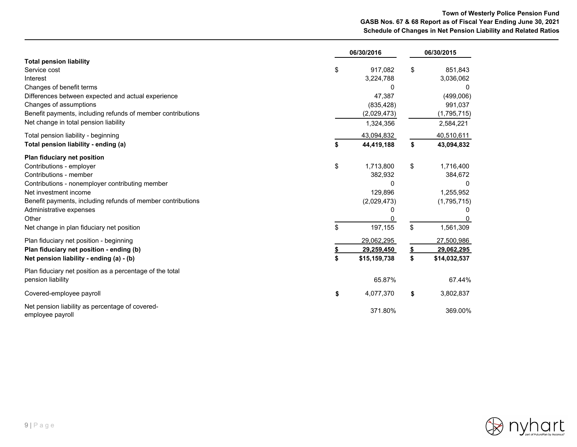# **Town of Westerly Police Pension Fund GASB Nos. 67 & 68 Report as of Fiscal Year Ending June 30, 2021 Schedule of Changes in Net Pension Liability and Related Ratios**

|                                                                                                                                                                                                                                                                                                               |          | 06/30/2016                                                                    |          | 06/30/2015                                                               |
|---------------------------------------------------------------------------------------------------------------------------------------------------------------------------------------------------------------------------------------------------------------------------------------------------------------|----------|-------------------------------------------------------------------------------|----------|--------------------------------------------------------------------------|
| <b>Total pension liability</b><br>Service cost<br>Interest<br>Changes of benefit terms<br>Differences between expected and actual experience<br>Changes of assumptions<br>Benefit payments, including refunds of member contributions<br>Net change in total pension liability                                | \$       | 917,082<br>3,224,788<br>O<br>47,387<br>(835, 428)<br>(2,029,473)<br>1,324,356 | \$       | 851,843<br>3,036,062<br>(499,006)<br>991,037<br>(1,795,715)<br>2,584,221 |
| Total pension liability - beginning<br>Total pension liability - ending (a)                                                                                                                                                                                                                                   | \$       | 43,094,832<br>44,419,188                                                      | \$       | 40,510,611<br>43,094,832                                                 |
| Plan fiduciary net position<br>Contributions - employer<br>Contributions - member<br>Contributions - nonemployer contributing member<br>Net investment income<br>Benefit payments, including refunds of member contributions<br>Administrative expenses<br>Other<br>Net change in plan fiduciary net position | \$<br>\$ | 1,713,800<br>382,932<br>0<br>129,896<br>(2,029,473)<br>Ω<br>0<br>197,155      | \$<br>\$ | 1,716,400<br>384,672<br>0<br>1,255,952<br>(1,795,715)<br>1,561,309       |
| Plan fiduciary net position - beginning<br>Plan fiduciary net position - ending (b)<br>Net pension liability - ending (a) - (b)                                                                                                                                                                               | \$       | 29,062,295<br>29,259,450<br>\$15,159,738                                      | S<br>\$  | 27,500,986<br>29,062,295<br>\$14,032,537                                 |
| Plan fiduciary net position as a percentage of the total<br>pension liability                                                                                                                                                                                                                                 |          | 65.87%                                                                        |          | 67.44%                                                                   |
| Covered-employee payroll                                                                                                                                                                                                                                                                                      | \$       | 4,077,370                                                                     | \$       | 3,802,837                                                                |
| Net pension liability as percentage of covered-<br>employee payroll                                                                                                                                                                                                                                           |          | 371.80%                                                                       |          | 369.00%                                                                  |

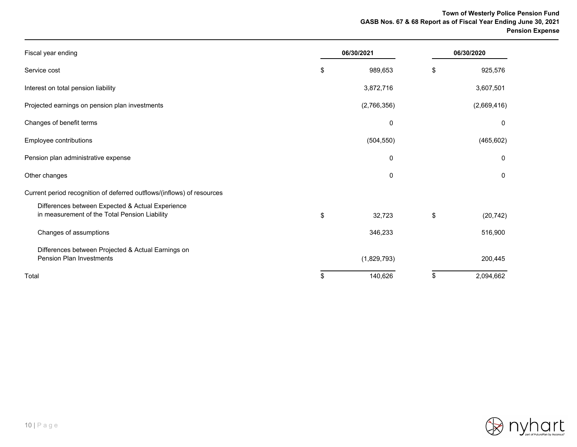# **Town of Westerly Police Pension Fund GASB Nos. 67 & 68 Report as of Fiscal Year Ending June 30, 2021 Pension Expense**

| Fiscal year ending                                                                                | 06/30/2021 |             | 06/30/2020 |             |  |
|---------------------------------------------------------------------------------------------------|------------|-------------|------------|-------------|--|
| Service cost                                                                                      | \$         | 989,653     | \$         | 925,576     |  |
| Interest on total pension liability                                                               |            | 3,872,716   |            | 3,607,501   |  |
| Projected earnings on pension plan investments                                                    |            | (2,766,356) |            | (2,669,416) |  |
| Changes of benefit terms                                                                          |            | $\mathbf 0$ |            | $\mathbf 0$ |  |
| Employee contributions                                                                            |            | (504, 550)  |            | (465, 602)  |  |
| Pension plan administrative expense                                                               |            | 0           |            | 0           |  |
| Other changes                                                                                     |            | 0           |            | 0           |  |
| Current period recognition of deferred outflows/(inflows) of resources                            |            |             |            |             |  |
| Differences between Expected & Actual Experience<br>in measurement of the Total Pension Liability | \$         | 32,723      | \$         | (20, 742)   |  |
| Changes of assumptions                                                                            |            | 346,233     |            | 516,900     |  |
| Differences between Projected & Actual Earnings on<br><b>Pension Plan Investments</b>             |            | (1,829,793) |            | 200,445     |  |
| Total                                                                                             | \$         | 140,626     | \$         | 2,094,662   |  |

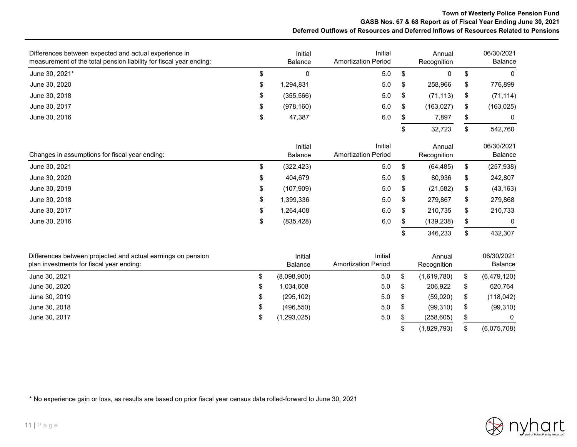## **Town of Westerly Police Pension Fund GASB Nos. 67 & 68 Report as of Fiscal Year Ending June 30, 2021 Deferred Outflows of Resources and Deferred Inflows of Resources Related to Pensions**

| Differences between expected and actual experience in<br>measurement of the total pension liability for fiscal year ending: |    | Initial<br>Balance | Initial<br><b>Amortization Period</b> | Annual<br>Recognition |    | 06/30/2021<br>Balance |
|-----------------------------------------------------------------------------------------------------------------------------|----|--------------------|---------------------------------------|-----------------------|----|-----------------------|
| June 30, 2021*                                                                                                              | \$ | 0                  | 5.0                                   | \$<br>0               | \$ | $\mathbf{0}$          |
| June 30, 2020                                                                                                               | \$ | 1,294,831          | 5.0                                   | \$<br>258,966         | \$ | 776,899               |
| June 30, 2018                                                                                                               | \$ | (355, 566)         | 5.0                                   | \$<br>(71, 113)       | \$ | (71, 114)             |
| June 30, 2017                                                                                                               | \$ | (978, 160)         | 6.0                                   | \$<br>(163, 027)      | \$ | (163, 025)            |
| June 30, 2016                                                                                                               | \$ | 47,387             | 6.0                                   | \$<br>7,897           | \$ | 0                     |
|                                                                                                                             |    |                    |                                       | \$<br>32,723          | \$ | 542,760               |
| Changes in assumptions for fiscal year ending:                                                                              |    | Initial<br>Balance | Initial<br><b>Amortization Period</b> | Annual<br>Recognition |    | 06/30/2021<br>Balance |
| June 30, 2021                                                                                                               | \$ | (322, 423)         | 5.0                                   | \$<br>(64, 485)       | \$ | (257, 938)            |
| June 30, 2020                                                                                                               | S  | 404,679            | 5.0                                   | \$<br>80,936          | \$ | 242,807               |
| June 30, 2019                                                                                                               | \$ | (107,909)          | 5.0                                   | \$<br>(21, 582)       | \$ | (43, 163)             |
| June 30, 2018                                                                                                               | \$ | 1,399,336          | 5.0                                   | \$<br>279,867         | \$ | 279,868               |
| June 30, 2017                                                                                                               | \$ | 1,264,408          | 6.0                                   | \$<br>210,735         | \$ | 210,733               |
| June 30, 2016                                                                                                               | \$ | (835, 428)         | 6.0                                   | \$<br>(139, 238)      | \$ | $\Omega$              |
|                                                                                                                             |    |                    |                                       | 346,233               | S  | 432,307               |

| Differences between projected and actual earnings on pension<br>plan investments for fiscal year ending: |   | Initial<br><b>Balance</b> | Initial<br><b>Amortization Period</b> |     | Annual<br>Recognition |      | 06/30/2021<br>Balance |
|----------------------------------------------------------------------------------------------------------|---|---------------------------|---------------------------------------|-----|-----------------------|------|-----------------------|
| June 30, 2021                                                                                            |   | (8,098,900)               | 5.0                                   |     | (1,619,780)           | \$   | (6,479,120)           |
| June 30, 2020                                                                                            | S | 1,034,608                 | 5.0                                   |     | 206.922               |      | 620,764               |
| June 30, 2019                                                                                            | ง | (295, 102)                | 5.0                                   | -SG | (59,020)              | - \$ | (118, 042)            |
| June 30, 2018                                                                                            | ง | (496, 550)                | 5.0                                   |     | (99,310)              | - \$ | (99,310)              |
| June 30, 2017                                                                                            |   | (1,293,025)               | 5.0                                   |     | (258, 605)            |      |                       |
|                                                                                                          |   |                           |                                       |     | (1,829,793)           |      | (6,075,708)           |

\* No experience gain or loss, as results are based on prior fiscal year census data rolled-forward to June 30, 2021

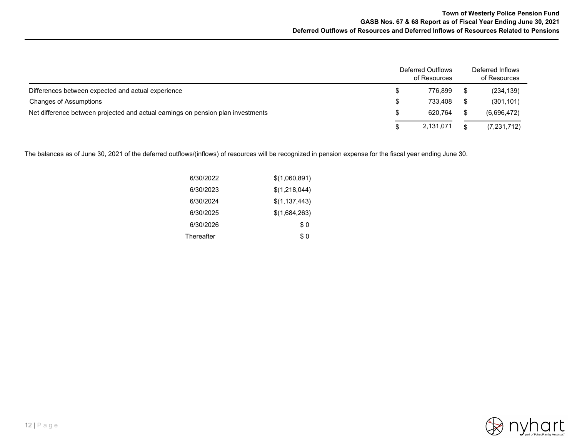|                                                                                  | <b>Deferred Outflows</b><br>of Resources | Deferred Inflows<br>of Resources |
|----------------------------------------------------------------------------------|------------------------------------------|----------------------------------|
| Differences between expected and actual experience                               | 776.899                                  | (234, 139)                       |
| Changes of Assumptions                                                           | 733.408                                  | (301, 101)                       |
| Net difference between projected and actual earnings on pension plan investments | 620.764                                  | (6,696,472)                      |
|                                                                                  | 2,131,071                                | (7, 231, 712)                    |

The balances as of June 30, 2021 of the deferred outflows/(inflows) of resources will be recognized in pension expense for the fiscal year ending June 30.

| 6/30/2022  | \$(1,060,891)   |
|------------|-----------------|
| 6/30/2023  | \$(1,218,044)   |
| 6/30/2024  | \$(1, 137, 443) |
| 6/30/2025  | \$(1,684,263)   |
| 6/30/2026  | \$0             |
| Thereafter | \$ 0            |

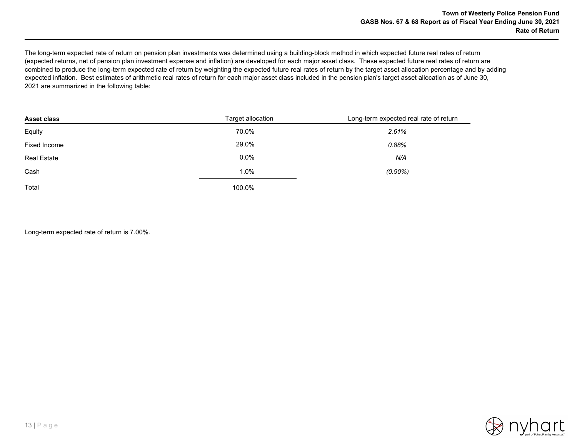The long-term expected rate of return on pension plan investments was determined using a building-block method in which expected future real rates of return (expected returns, net of pension plan investment expense and inflation) are developed for each major asset class. These expected future real rates of return are combined to produce the long-term expected rate of return by weighting the expected future real rates of return by the target asset allocation percentage and by adding expected inflation. Best estimates of arithmetic real rates of return for each major asset class included in the pension plan's target asset allocation as of June 30, 2021 are summarized in the following table:

| <b>Asset class</b> | Target allocation | Long-term expected real rate of return |
|--------------------|-------------------|----------------------------------------|
| Equity             | 70.0%             | 2.61%                                  |
| Fixed Income       | 29.0%             | 0.88%                                  |
| <b>Real Estate</b> | $0.0\%$           | N/A                                    |
| Cash               | 1.0%              | $(0.90\%)$                             |
| Total              | 100.0%            |                                        |

Long-term expected rate of return is 7.00%.

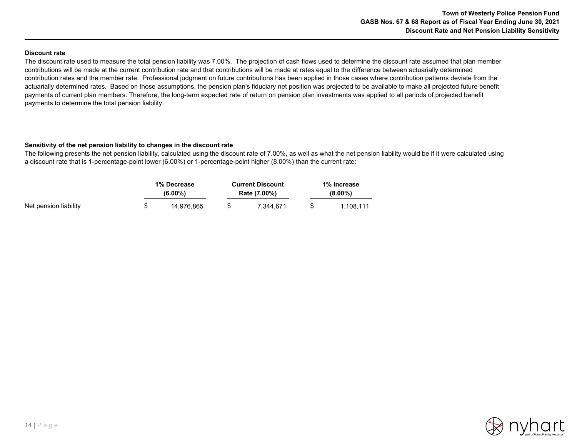#### **Discount rate**

The discount rate used to measure the total pension liability was 7.00%. The projection of cash flows used to determine the discount rate assumed that plan member contributions will be made at the current contribution rate and that contributions will be made at rates equal to the difference between actuarially determined contribution rates and the member rate. Professional judgment on future contributions has been applied in those cases where contribution patterns deviate from the actuarially determined rates. Based on those assumptions, the pension plan's fiduciary net position was projected to be available to make all projected future benefit payments of current plan members. Therefore, the long-term expected rate of return on pension plan investments was applied to all periods of projected benefit payments to determine the total pension liability.

#### **Sensitivity of the net pension liability to changes in the discount rate**

The following presents the net pension liability, calculated using the discount rate of 7.00%, as well as what the net pension liability would be if it were calculated using a discount rate that is 1-percentage-point lower (6.00%) or 1-percentage-point higher (8.00%) than the current rate:

|                       | 1% Decrease<br>$(6.00\%)$ | <b>Current Discount</b><br>Rate (7.00%) | 1% Increase<br>$(8.00\%)$ |  |  |
|-----------------------|---------------------------|-----------------------------------------|---------------------------|--|--|
| Net pension liability | 14.976.865                | 7.344.671                               | 1.108.111                 |  |  |

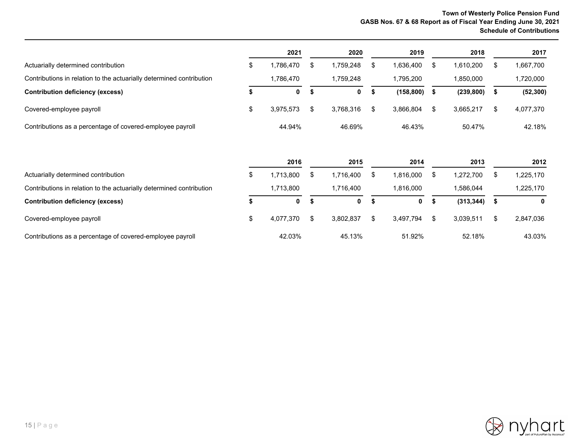## **Town of Westerly Police Pension Fund GASB Nos. 67 & 68 Report as of Fiscal Year Ending June 30, 2021 Schedule of Contributions**

|                                                                      |    | 2021      |    | 2020        |      | 2019       |      | 2018       |     | 2017      |
|----------------------------------------------------------------------|----|-----------|----|-------------|------|------------|------|------------|-----|-----------|
| Actuarially determined contribution                                  | S  | 1,786,470 | £. | 1.759.248   | S    | 1.636.400  |      | 1,610,200  |     | 1,667,700 |
| Contributions in relation to the actuarially determined contribution |    | 1.786.470 |    | .759.248    |      | 1.795.200  |      | 1,850,000  |     | 1,720,000 |
| <b>Contribution deficiency (excess)</b>                              |    | 0         | ж  | $\mathbf 0$ | - 56 | (158, 800) | - 56 | (239, 800) | -31 | (52, 300) |
| Covered-employee payroll                                             | \$ | 3.975.573 |    | 3.768.316   |      | 3.866.804  | \$.  | 3.665.217  |     | 4,077,370 |
| Contributions as a percentage of covered-employee payroll            |    | 44.94%    |    | 46.69%      |      | 46.43%     |      | 50.47%     |     | 42.18%    |

|                                                                      | 2016        |   | 2015      |      | 2014      |      | 2013       | 2012      |
|----------------------------------------------------------------------|-------------|---|-----------|------|-----------|------|------------|-----------|
| Actuarially determined contribution                                  | .713.800    |   | 1.716.400 |      | 1.816.000 |      | 1,272,700  | .225,170  |
| Contributions in relation to the actuarially determined contribution | 1.713.800   |   | 1.716.400 |      | 1.816.000 |      | .586.044   | .225,170  |
| <b>Contribution deficiency (excess)</b>                              | $\mathbf 0$ | ъ | 0         | - 55 | 0         | - 56 | (313, 344) | 0         |
| Covered-employee payroll                                             | 4.077.370   |   | 3.802.837 |      | 3.497.794 |      | 3.039.511  | 2,847,036 |
| Contributions as a percentage of covered-employee payroll            | 42.03%      |   | 45.13%    |      | 51.92%    |      | 52.18%     | 43.03%    |

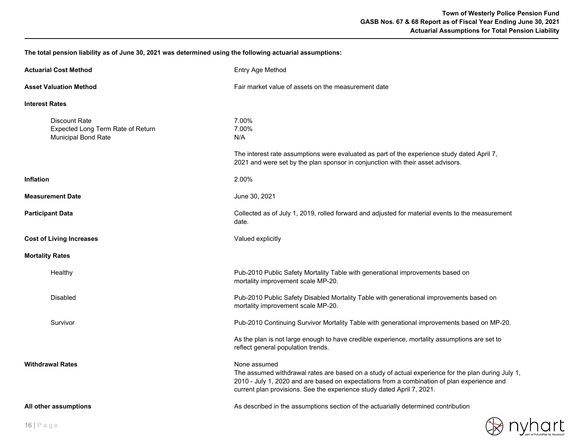**The total pension liability as of June 30, 2021 was determined using the following actuarial assumptions:**

| <b>Actuarial Cost Method</b>                                                            | Entry Age Method                                                                                                                                                                                                                                                                            |
|-----------------------------------------------------------------------------------------|---------------------------------------------------------------------------------------------------------------------------------------------------------------------------------------------------------------------------------------------------------------------------------------------|
| <b>Asset Valuation Method</b>                                                           | Fair market value of assets on the measurement date                                                                                                                                                                                                                                         |
| <b>Interest Rates</b>                                                                   |                                                                                                                                                                                                                                                                                             |
| <b>Discount Rate</b><br>Expected Long Term Rate of Return<br><b>Municipal Bond Rate</b> | 7.00%<br>7.00%<br>N/A                                                                                                                                                                                                                                                                       |
|                                                                                         | The interest rate assumptions were evaluated as part of the experience study dated April 7,<br>2021 and were set by the plan sponsor in conjunction with their asset advisors.                                                                                                              |
| <b>Inflation</b>                                                                        | 2.00%                                                                                                                                                                                                                                                                                       |
| <b>Measurement Date</b>                                                                 | June 30, 2021                                                                                                                                                                                                                                                                               |
| <b>Participant Data</b>                                                                 | Collected as of July 1, 2019, rolled forward and adjusted for material events to the measurement<br>date.                                                                                                                                                                                   |
| <b>Cost of Living Increases</b>                                                         | Valued explicitly                                                                                                                                                                                                                                                                           |
| <b>Mortality Rates</b>                                                                  |                                                                                                                                                                                                                                                                                             |
| Healthy                                                                                 | Pub-2010 Public Safety Mortality Table with generational improvements based on<br>mortality improvement scale MP-20.                                                                                                                                                                        |
| <b>Disabled</b>                                                                         | Pub-2010 Public Safety Disabled Mortality Table with generational improvements based on<br>mortality improvement scale MP-20.                                                                                                                                                               |
| Survivor                                                                                | Pub-2010 Continuing Survivor Mortality Table with generational improvements based on MP-20.                                                                                                                                                                                                 |
|                                                                                         | As the plan is not large enough to have credible experience, mortality assumptions are set to<br>reflect general population trends.                                                                                                                                                         |
| <b>Withdrawal Rates</b>                                                                 | None assumed<br>The assumed withdrawal rates are based on a study of actual experience for the plan during July 1,<br>2010 - July 1, 2020 and are based on expectations from a combination of plan experience and<br>current plan provisions. See the experience study dated April 7, 2021. |
| All other assumptions                                                                   | As described in the assumptions section of the actuarially determined contribution                                                                                                                                                                                                          |

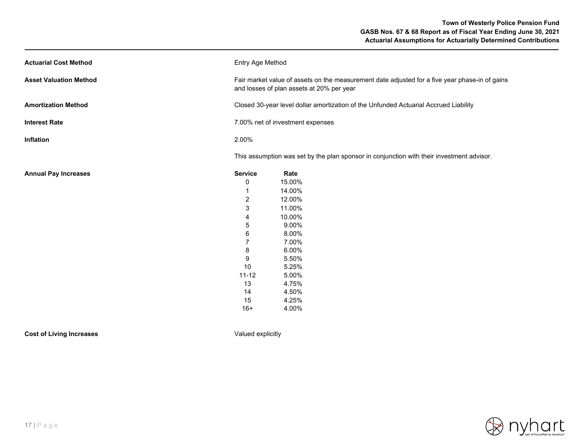| <b>Actuarial Cost Method</b>  | Entry Age Method                                                                                                                            |                                                                                                              |  |  |  |
|-------------------------------|---------------------------------------------------------------------------------------------------------------------------------------------|--------------------------------------------------------------------------------------------------------------|--|--|--|
| <b>Asset Valuation Method</b> | Fair market value of assets on the measurement date adjusted for a five year phase-in of gains<br>and losses of plan assets at 20% per year |                                                                                                              |  |  |  |
| <b>Amortization Method</b>    | Closed 30-year level dollar amortization of the Unfunded Actuarial Accrued Liability                                                        |                                                                                                              |  |  |  |
| <b>Interest Rate</b>          | 7.00% net of investment expenses                                                                                                            |                                                                                                              |  |  |  |
| Inflation                     | 2.00%                                                                                                                                       |                                                                                                              |  |  |  |
|                               |                                                                                                                                             | This assumption was set by the plan sponsor in conjunction with their investment advisor.                    |  |  |  |
| <b>Annual Pay Increases</b>   | <b>Service</b><br>0<br>$\overline{2}$<br>3<br>4<br>5<br>6<br>7<br>8<br>9<br>10                                                              | Rate<br>15.00%<br>14.00%<br>12.00%<br>11.00%<br>10.00%<br>9.00%<br>8.00%<br>7.00%<br>6.00%<br>5.50%<br>5.25% |  |  |  |
|                               | $11 - 12$<br>13<br>14<br>15<br>$16+$                                                                                                        | 5.00%<br>4.75%<br>4.50%<br>4.25%<br>4.00%                                                                    |  |  |  |

**Cost of Living Increases Valued explicitly** 

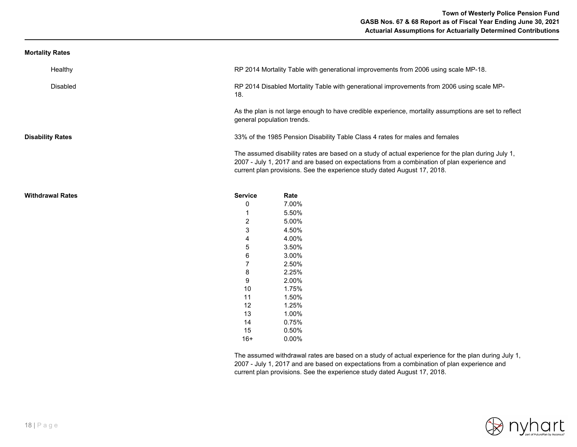### **Mortality Rates**

| Healthy                 |                            | RP 2014 Mortality Table with generational improvements from 2006 using scale MP-18.                                                                                                                                                                                           |
|-------------------------|----------------------------|-------------------------------------------------------------------------------------------------------------------------------------------------------------------------------------------------------------------------------------------------------------------------------|
| Disabled                | 18.                        | RP 2014 Disabled Mortality Table with generational improvements from 2006 using scale MP-                                                                                                                                                                                     |
|                         | general population trends. | As the plan is not large enough to have credible experience, mortality assumptions are set to reflect                                                                                                                                                                         |
| <b>Disability Rates</b> |                            | 33% of the 1985 Pension Disability Table Class 4 rates for males and females                                                                                                                                                                                                  |
|                         |                            | The assumed disability rates are based on a study of actual experience for the plan during July 1,<br>2007 - July 1, 2017 and are based on expectations from a combination of plan experience and<br>current plan provisions. See the experience study dated August 17, 2018. |
| <b>Withdrawal Rates</b> | <b>Service</b>             | Rate                                                                                                                                                                                                                                                                          |
|                         | 0                          | 7.00%                                                                                                                                                                                                                                                                         |
|                         |                            | 5.50%                                                                                                                                                                                                                                                                         |
|                         | $\overline{c}$             | 5.00%                                                                                                                                                                                                                                                                         |
|                         | 3                          | 4.50%                                                                                                                                                                                                                                                                         |
|                         | 4                          | 4.00%                                                                                                                                                                                                                                                                         |
|                         | 5                          | 3.50%                                                                                                                                                                                                                                                                         |
|                         | 6                          | 3.00%                                                                                                                                                                                                                                                                         |
|                         | $\overline{7}$             | 2.50%                                                                                                                                                                                                                                                                         |
|                         | 8                          | 2.25%                                                                                                                                                                                                                                                                         |
|                         | 9                          | 2.00%                                                                                                                                                                                                                                                                         |
|                         | 10                         | 1.75%                                                                                                                                                                                                                                                                         |
|                         | 11                         | 1.50%                                                                                                                                                                                                                                                                         |
|                         | 12                         | 1.25%                                                                                                                                                                                                                                                                         |
|                         | 13                         | 1.00%                                                                                                                                                                                                                                                                         |
|                         | 14                         | 0.75%                                                                                                                                                                                                                                                                         |
|                         | 15                         | 0.50%                                                                                                                                                                                                                                                                         |
|                         | $16+$                      | $0.00\%$                                                                                                                                                                                                                                                                      |

The assumed withdrawal rates are based on a study of actual experience for the plan during July 1, 2007 - July 1, 2017 and are based on expectations from a combination of plan experience and current plan provisions. See the experience study dated August 17, 2018.

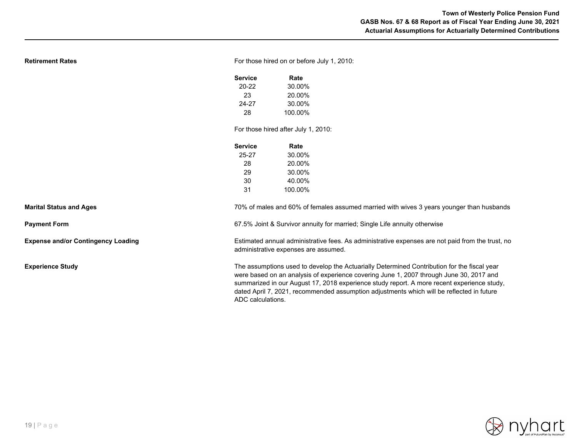|  |  | Retirement Rates |
|--|--|------------------|
|  |  |                  |

For those hired on or before July 1, 2010:

| Service | Rate    |
|---------|---------|
| 20-22   | 30.00%  |
| 23      | 20.00%  |
| 24-27   | 30.00%  |
| 28      | 100.00% |

For those hired after July 1, 2010:

| Service | Rate    |
|---------|---------|
| 25-27   | 30.00%  |
| 28      | 20.00%  |
| 29      | 30.00%  |
| 30      | 40.00%  |
| 31      | 100.00% |

**Marital Status and Ages**

**Payment Form**

**Expense and/or Contingency Loading**

**Experience Study**

67.5% Joint & Survivor annuity for married; Single Life annuity otherwise

Estimated annual administrative fees. As administrative expenses are not paid from the trust, no administrative expenses are assumed.

70% of males and 60% of females assumed married with wives 3 years younger than husbands

The assumptions used to develop the Actuarially Determined Contribution for the fiscal year were based on an analysis of experience covering June 1, 2007 through June 30, 2017 and summarized in our August 17, 2018 experience study report. A more recent experience study, dated April 7, 2021, recommended assumption adjustments which will be reflected in future ADC calculations.

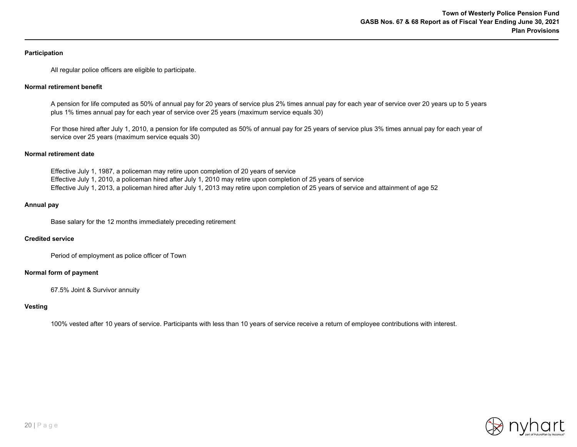#### **Participation**

All regular police officers are eligible to participate.

#### **Normal retirement benefit**

A pension for life computed as 50% of annual pay for 20 years of service plus 2% times annual pay for each year of service over 20 years up to 5 years plus 1% times annual pay for each year of service over 25 years (maximum service equals 30)

For those hired after July 1, 2010, a pension for life computed as 50% of annual pay for 25 years of service plus 3% times annual pay for each year of service over 25 years (maximum service equals 30)

#### **Normal retirement date**

Effective July 1, 1987, a policeman may retire upon completion of 20 years of service Effective July 1, 2010, a policeman hired after July 1, 2010 may retire upon completion of 25 years of service Effective July 1, 2013, a policeman hired after July 1, 2013 may retire upon completion of 25 years of service and attainment of age 52

#### **Annual pay**

Base salary for the 12 months immediately preceding retirement

#### **Credited service**

Period of employment as police officer of Town

#### **Normal form of payment**

67.5% Joint & Survivor annuity

#### **Vesting**

100% vested after 10 years of service. Participants with less than 10 years of service receive a return of employee contributions with interest.